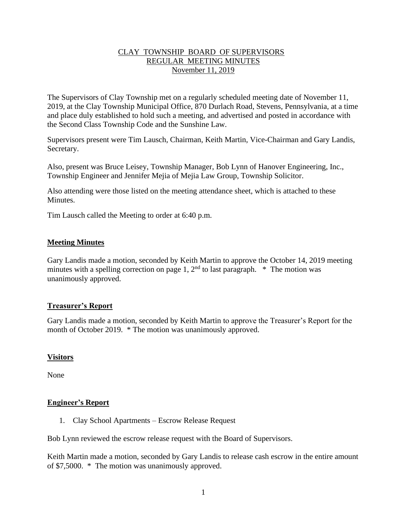# CLAY TOWNSHIP BOARD OF SUPERVISORS REGULAR MEETING MINUTES November 11, 2019

The Supervisors of Clay Township met on a regularly scheduled meeting date of November 11, 2019, at the Clay Township Municipal Office, 870 Durlach Road, Stevens, Pennsylvania, at a time and place duly established to hold such a meeting, and advertised and posted in accordance with the Second Class Township Code and the Sunshine Law.

Supervisors present were Tim Lausch, Chairman, Keith Martin, Vice-Chairman and Gary Landis, Secretary.

Also, present was Bruce Leisey, Township Manager, Bob Lynn of Hanover Engineering, Inc., Township Engineer and Jennifer Mejia of Mejia Law Group, Township Solicitor.

Also attending were those listed on the meeting attendance sheet, which is attached to these **Minutes** 

Tim Lausch called the Meeting to order at 6:40 p.m.

## **Meeting Minutes**

Gary Landis made a motion, seconded by Keith Martin to approve the October 14, 2019 meeting minutes with a spelling correction on page 1,  $2<sup>nd</sup>$  to last paragraph. \* The motion was unanimously approved.

## **Treasurer's Report**

Gary Landis made a motion, seconded by Keith Martin to approve the Treasurer's Report for the month of October 2019. \* The motion was unanimously approved.

# **Visitors**

None

## **Engineer's Report**

1. Clay School Apartments – Escrow Release Request

Bob Lynn reviewed the escrow release request with the Board of Supervisors.

Keith Martin made a motion, seconded by Gary Landis to release cash escrow in the entire amount of \$7,5000. \* The motion was unanimously approved.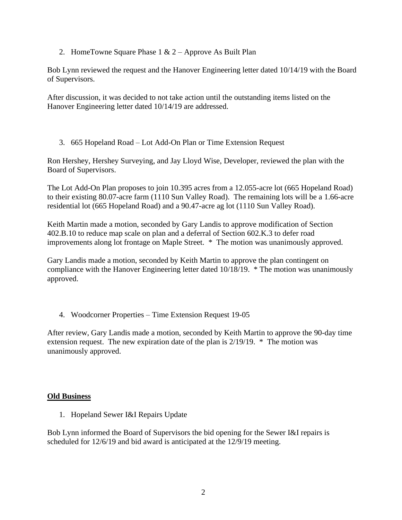2. HomeTowne Square Phase  $1 & 2$  – Approve As Built Plan

Bob Lynn reviewed the request and the Hanover Engineering letter dated 10/14/19 with the Board of Supervisors.

After discussion, it was decided to not take action until the outstanding items listed on the Hanover Engineering letter dated 10/14/19 are addressed.

3. 665 Hopeland Road – Lot Add-On Plan or Time Extension Request

Ron Hershey, Hershey Surveying, and Jay Lloyd Wise, Developer, reviewed the plan with the Board of Supervisors.

The Lot Add-On Plan proposes to join 10.395 acres from a 12.055-acre lot (665 Hopeland Road) to their existing 80.07-acre farm (1110 Sun Valley Road). The remaining lots will be a 1.66-acre residential lot (665 Hopeland Road) and a 90.47-acre ag lot (1110 Sun Valley Road).

Keith Martin made a motion, seconded by Gary Landis to approve modification of Section 402.B.10 to reduce map scale on plan and a deferral of Section 602.K.3 to defer road improvements along lot frontage on Maple Street. \* The motion was unanimously approved.

Gary Landis made a motion, seconded by Keith Martin to approve the plan contingent on compliance with the Hanover Engineering letter dated 10/18/19. \* The motion was unanimously approved.

4. Woodcorner Properties – Time Extension Request 19-05

After review, Gary Landis made a motion, seconded by Keith Martin to approve the 90-day time extension request. The new expiration date of the plan is 2/19/19. \* The motion was unanimously approved.

## **Old Business**

1. Hopeland Sewer I&I Repairs Update

Bob Lynn informed the Board of Supervisors the bid opening for the Sewer I&I repairs is scheduled for 12/6/19 and bid award is anticipated at the 12/9/19 meeting.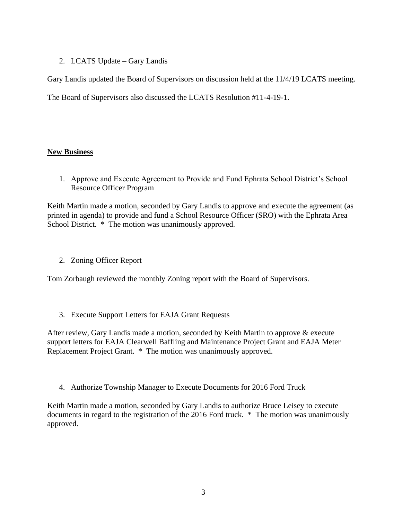# 2. LCATS Update – Gary Landis

Gary Landis updated the Board of Supervisors on discussion held at the 11/4/19 LCATS meeting.

The Board of Supervisors also discussed the LCATS Resolution #11-4-19-1.

# **New Business**

1. Approve and Execute Agreement to Provide and Fund Ephrata School District's School Resource Officer Program

Keith Martin made a motion, seconded by Gary Landis to approve and execute the agreement (as printed in agenda) to provide and fund a School Resource Officer (SRO) with the Ephrata Area School District. \* The motion was unanimously approved.

2. Zoning Officer Report

Tom Zorbaugh reviewed the monthly Zoning report with the Board of Supervisors.

3. Execute Support Letters for EAJA Grant Requests

After review, Gary Landis made a motion, seconded by Keith Martin to approve & execute support letters for EAJA Clearwell Baffling and Maintenance Project Grant and EAJA Meter Replacement Project Grant. \* The motion was unanimously approved.

4. Authorize Township Manager to Execute Documents for 2016 Ford Truck

Keith Martin made a motion, seconded by Gary Landis to authorize Bruce Leisey to execute documents in regard to the registration of the 2016 Ford truck. \* The motion was unanimously approved.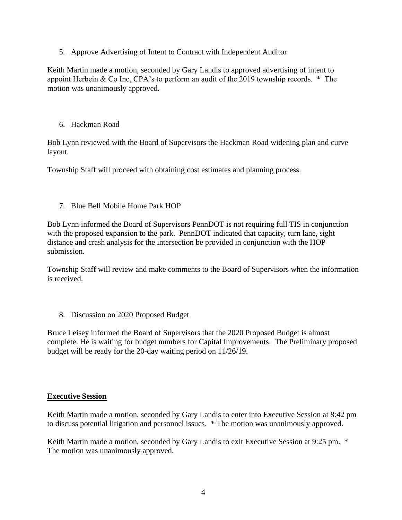5. Approve Advertising of Intent to Contract with Independent Auditor

Keith Martin made a motion, seconded by Gary Landis to approved advertising of intent to appoint Herbein & Co Inc, CPA's to perform an audit of the 2019 township records. \* The motion was unanimously approved.

6. Hackman Road

Bob Lynn reviewed with the Board of Supervisors the Hackman Road widening plan and curve layout.

Township Staff will proceed with obtaining cost estimates and planning process.

7. Blue Bell Mobile Home Park HOP

Bob Lynn informed the Board of Supervisors PennDOT is not requiring full TIS in conjunction with the proposed expansion to the park. PennDOT indicated that capacity, turn lane, sight distance and crash analysis for the intersection be provided in conjunction with the HOP submission.

Township Staff will review and make comments to the Board of Supervisors when the information is received.

8. Discussion on 2020 Proposed Budget

Bruce Leisey informed the Board of Supervisors that the 2020 Proposed Budget is almost complete. He is waiting for budget numbers for Capital Improvements. The Preliminary proposed budget will be ready for the 20-day waiting period on 11/26/19.

# **Executive Session**

Keith Martin made a motion, seconded by Gary Landis to enter into Executive Session at 8:42 pm to discuss potential litigation and personnel issues. \* The motion was unanimously approved.

Keith Martin made a motion, seconded by Gary Landis to exit Executive Session at 9:25 pm. \* The motion was unanimously approved.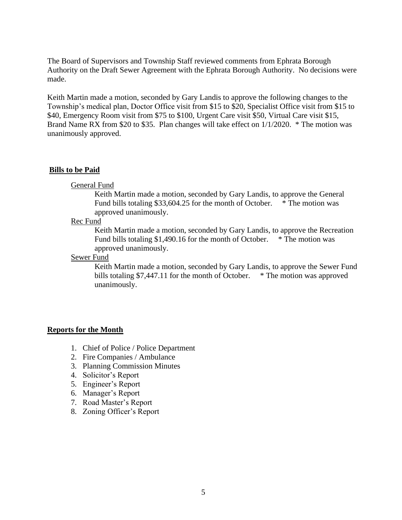The Board of Supervisors and Township Staff reviewed comments from Ephrata Borough Authority on the Draft Sewer Agreement with the Ephrata Borough Authority. No decisions were made.

Keith Martin made a motion, seconded by Gary Landis to approve the following changes to the Township's medical plan, Doctor Office visit from \$15 to \$20, Specialist Office visit from \$15 to \$40, Emergency Room visit from \$75 to \$100, Urgent Care visit \$50, Virtual Care visit \$15, Brand Name RX from \$20 to \$35. Plan changes will take effect on 1/1/2020. \* The motion was unanimously approved.

## **Bills to be Paid**

#### General Fund

Keith Martin made a motion, seconded by Gary Landis, to approve the General Fund bills totaling \$33,604.25 for the month of October. \* The motion was approved unanimously.

#### Rec Fund

Keith Martin made a motion, seconded by Gary Landis, to approve the Recreation Fund bills totaling \$1,490.16 for the month of October. \* The motion was approved unanimously.

Sewer Fund

Keith Martin made a motion, seconded by Gary Landis, to approve the Sewer Fund bills totaling \$7,447.11 for the month of October. \* The motion was approved unanimously.

## **Reports for the Month**

- 1. Chief of Police / Police Department
- 2. Fire Companies / Ambulance
- 3. Planning Commission Minutes
- 4. Solicitor's Report
- 5. Engineer's Report
- 6. Manager's Report
- 7. Road Master's Report
- 8. Zoning Officer's Report